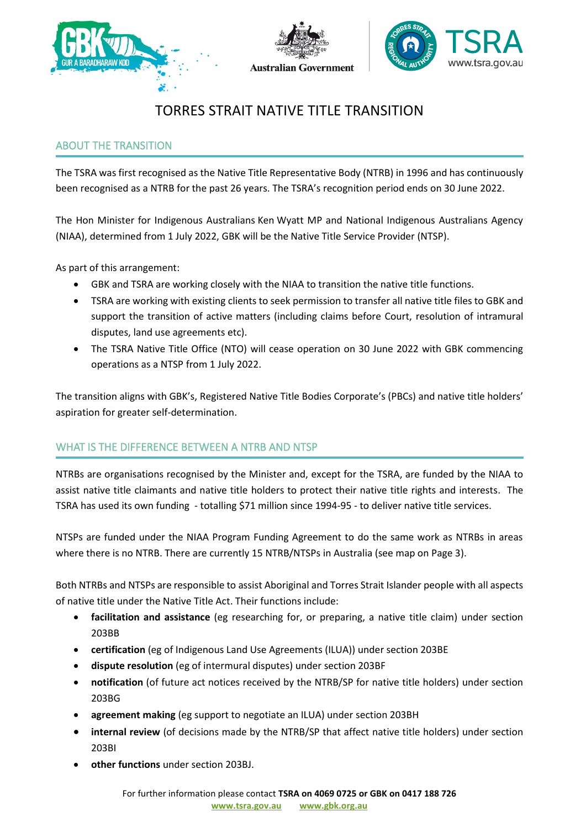





# TORRES STRAIT NATIVE TITLE TRANSITION

# ABOUT THE TRANSITION

The TSRA was first recognised as the Native Title Representative Body (NTRB) in 1996 and has continuously been recognised as a NTRB for the past 26 years. The TSRA's recognition period ends on 30 June 2022.

The Hon Minister for Indigenous Australians Ken Wyatt MP and National Indigenous Australians Agency (NIAA), determined from 1 July 2022, GBK will be the Native Title Service Provider (NTSP).

As part of this arrangement:

- GBK and TSRA are working closely with the NIAA to transition the native title functions.
- TSRA are working with existing clients to seek permission to transfer all native title files to GBK and support the transition of active matters (including claims before Court, resolution of intramural disputes, land use agreements etc).
- The TSRA Native Title Office (NTO) will cease operation on 30 June 2022 with GBK commencing operations as a NTSP from 1 July 2022.

The transition aligns with GBK's, Registered Native Title Bodies Corporate's (PBCs) and native title holders' aspiration for greater self-determination.

# WHAT IS THE DIFFERENCE BETWEEN A NTRB AND NTSP

fund to be experimented toogineer by the *number* they except of the forby are ferred by the film  $\cdot$ assist native title claimants and native title holders to protect their native title rights and interests. The NTRBs are organisations recognised by the Minister and, except for the TSRA, are funded by the NIAA to TSRA has used its own funding - totalling \$71 million since 1994-95 - to deliver native title services.

NTSPs are funded under the NIAA Program Funding Agreement to do the same work as NTRBs in areas where there is no NTRB. There are currently 15 NTRB/NTSPs in Australia (see map on Page 3).

Both NTRBs and NTSPs are responsible to assist Aboriginal and Torres Strait Islander people with all aspects of native title under the Native Title Act. Their functions include:

- **facilitation and assistance** (eg researching for, or preparing, a native title claim) under section 203BB
- **certification** (eg of Indigenous Land Use Agreements (ILUA)) under section 203BE
- **dispute resolution** (eg of intermural disputes) under section 203BF
- **notification** (of future act notices received by the NTRB/SP for native title holders) under section 203BG
- **agreement making** (eg support to negotiate an ILUA) under section 203BH
- **internal review** (of decisions made by the NTRB/SP that affect native title holders) under section 203BI
- **other functions** under section 203BJ.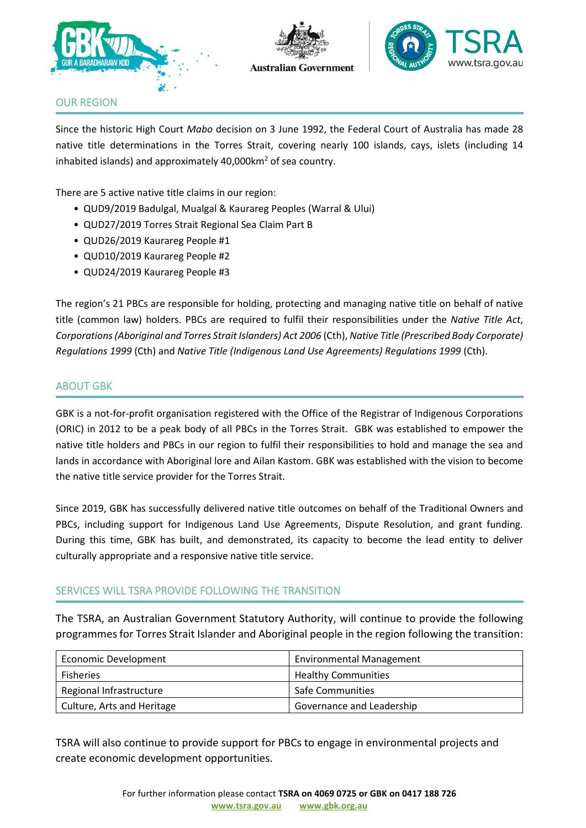





## OUR REGION

Since the historic High Court *Mabo* decision on 3 June 1992, the Federal Court of Australia has made 28 native title determinations in the Torres Strait, covering nearly 100 islands, cays, islets (including 14 inhabited islands) and approximately  $40,000$ km<sup>2</sup> of sea country.

There are 5 active native title claims in our region:

- QUD9/2019 Badulgal, Mualgal & Kaurareg Peoples (Warral & Ului)
- QUD27/2019 Torres Strait Regional Sea Claim Part B
- QUD26/2019 Kaurareg People #1
- QUD10/2019 Kaurareg People #2
- QUD24/2019 Kaurareg People #3

The region's 21 PBCs are responsible for holding, protecting and managing native title on behalf of native title (common law) holders. PBCs are required to fulfil their responsibilities under the *Native Title Act*, *Corporations (Aboriginal and Torres Strait Islanders) Act 2006* (Cth), *Native Title (Prescribed Body Corporate) Regulations 1999* (Cth) and *Native Title (Indigenous Land Use Agreements) Regulations 1999* (Cth).

## ABOUT GBK

GBK is a not-for-profit organisation registered with the Office of the Registrar of Indigenous Corporations (ORIC) in 2012 to be a peak body of all PBCs in the Torres Strait. GBK was established to empower the native title holders and PBCs in our region to fulfil their responsibilities to hold and manage the sea and lands in accordance with Aboriginal lore and Ailan Kastom. GBK was established with the vision to become the native title service provider for the Torres Strait.

Since 2019, GBK has successfully delivered native title outcomes on behalf of the Traditional Owners and PBCs, including support for Indigenous Land Use Agreements, Dispute Resolution, and grant funding. During this time, GBK has built, and demonstrated, its capacity to become the lead entity to deliver culturally appropriate and a responsive native title service.

# SERVICES WILL TSRA PROVIDE FOLLOWING THE TRANSITION

The TSRA, an Australian Government Statutory Authority, will continue to provide the following programmes for Torres Strait Islander and Aboriginal people in the region following the transition:

| Economic Development       | <b>Environmental Management</b> |
|----------------------------|---------------------------------|
| Fisheries                  | <b>Healthy Communities</b>      |
| Regional Infrastructure    | <b>Safe Communities</b>         |
| Culture, Arts and Heritage | Governance and Leadership       |

TSRA will also continue to provide support for PBCs to engage in environmental projects and create economic development opportunities.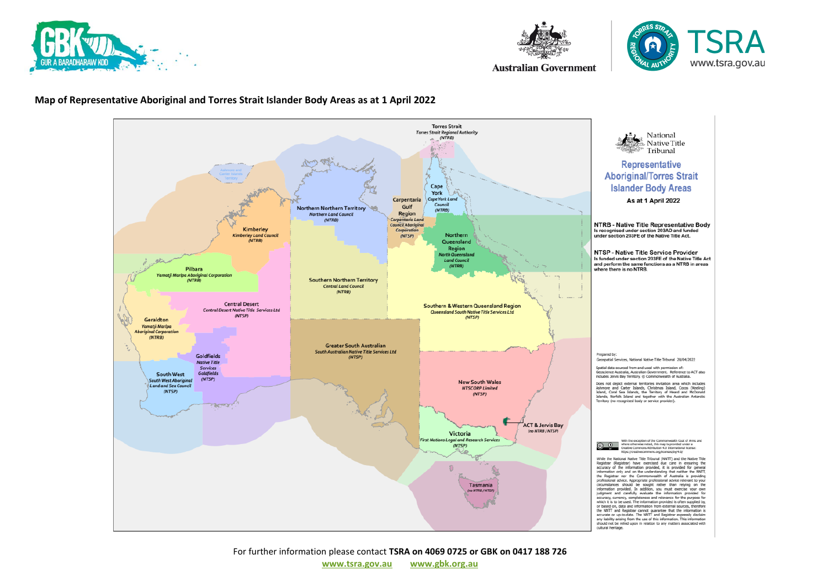





**Australian Government** 

#### **Map of Representative Aboriginal and Torres Strait Islander Body Areas as at 1 April 2022**